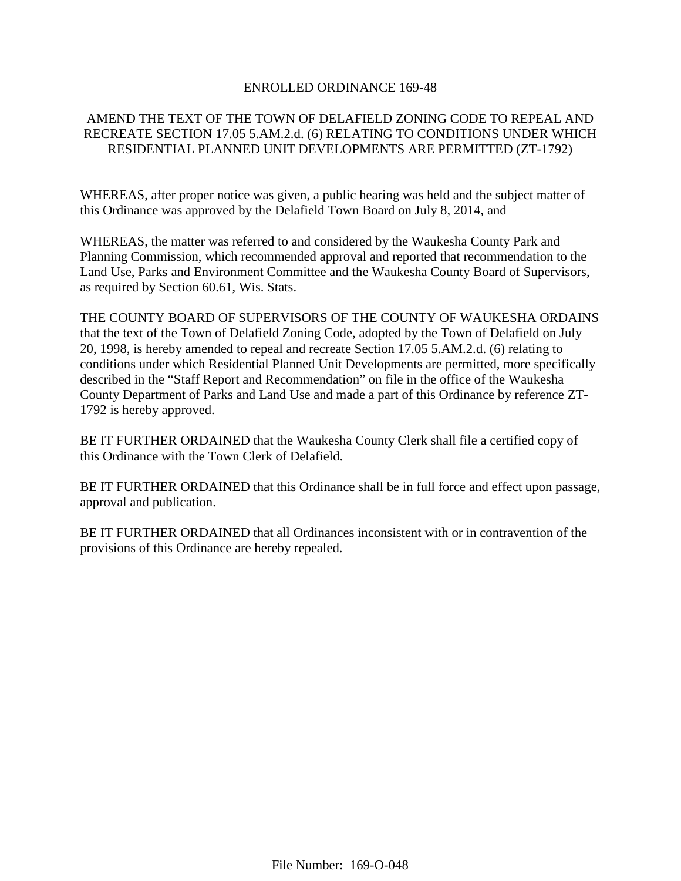### ENROLLED ORDINANCE 169-48

# AMEND THE TEXT OF THE TOWN OF DELAFIELD ZONING CODE TO REPEAL AND RECREATE SECTION 17.05 5.AM.2.d. (6) RELATING TO CONDITIONS UNDER WHICH RESIDENTIAL PLANNED UNIT DEVELOPMENTS ARE PERMITTED (ZT-1792)

WHEREAS, after proper notice was given, a public hearing was held and the subject matter of this Ordinance was approved by the Delafield Town Board on July 8, 2014, and

WHEREAS, the matter was referred to and considered by the Waukesha County Park and Planning Commission, which recommended approval and reported that recommendation to the Land Use, Parks and Environment Committee and the Waukesha County Board of Supervisors, as required by Section 60.61, Wis. Stats.

THE COUNTY BOARD OF SUPERVISORS OF THE COUNTY OF WAUKESHA ORDAINS that the text of the Town of Delafield Zoning Code, adopted by the Town of Delafield on July 20, 1998, is hereby amended to repeal and recreate Section 17.05 5.AM.2.d. (6) relating to conditions under which Residential Planned Unit Developments are permitted, more specifically described in the "Staff Report and Recommendation" on file in the office of the Waukesha County Department of Parks and Land Use and made a part of this Ordinance by reference ZT-1792 is hereby approved.

BE IT FURTHER ORDAINED that the Waukesha County Clerk shall file a certified copy of this Ordinance with the Town Clerk of Delafield.

BE IT FURTHER ORDAINED that this Ordinance shall be in full force and effect upon passage, approval and publication.

BE IT FURTHER ORDAINED that all Ordinances inconsistent with or in contravention of the provisions of this Ordinance are hereby repealed.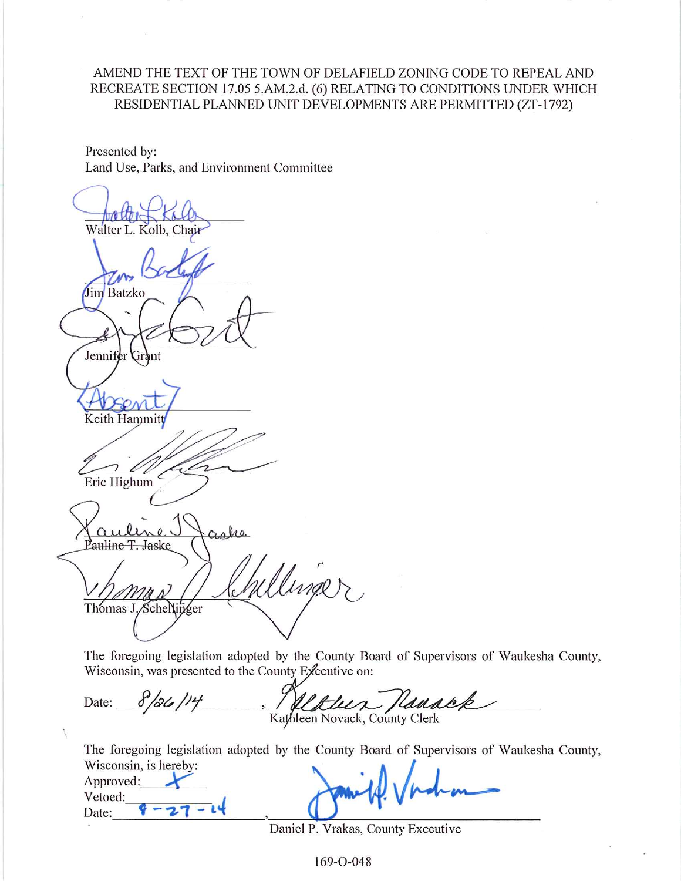# AMEND THE TEXT OF THE TOWN OF DELAFIELD ZONING CODE TO REPEAL AND RECREATE SECTION 17.05 5.AM.2.d. (6) RELATING TO CONDITIONS UNDER WHICH RESIDENTIAL PLANNED UNIT DEVELOPMENTS ARE PERMITTED (ZT-1792)

Presented by: Land Use, Parks, and Environment Committee

Walter L. Kolb, Chair Jim Batzko Jennifer drant Keith Hammitt Eric Highum aka auline T<del>. Ja</del>ske Willinger Thomas J. Schellinger

The foregoing legislation adopted by the County Board of Supervisors of Waukesha County, Wisconsin, was presented to the County Executive on:

Date:  $8/26/14$ Hanack uir Kathleen Novack, County Clerk

The foregoing legislation adopted by the County Board of Supervisors of Waukesha County, Wisconsin is houseum

| WISCONSIN, IS NETEDY.<br>Approved: |         |
|------------------------------------|---------|
| Vetoed:                            | $A - A$ |
| Date                               |         |

Daniel P. Vrakas, County Executive

169-O-048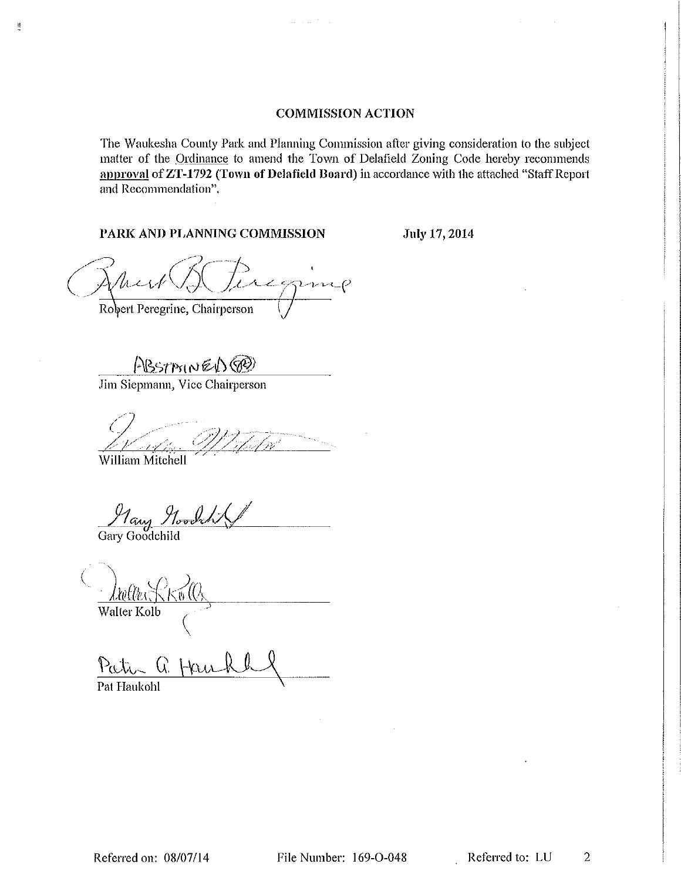### **COMMISSION ACTION**

The Waukesha County Park and Planning Commission after giving consideration to the subject matter of the Ordinance to amend the Town of Delafield Zoning Code hereby recommends approval of ZT-1792 (Town of Delafield Board) in accordance with the attached "Staff Report and Recommendation".

### PARK AND PLANNING COMMISSION

July 17, 2014

acgung Robert Peregrine, Chairperson

ABSTAINED@

Jim Siepmann, Vice Chairperson

by

William Mitchell

 $\frac{11}{11}$ 

<u>May Noodch</u>

Walter Kolb

Patra Q. Hau Pat Haukohl

File Number: 169-O-048

 $\overline{2}$ Referred to: LU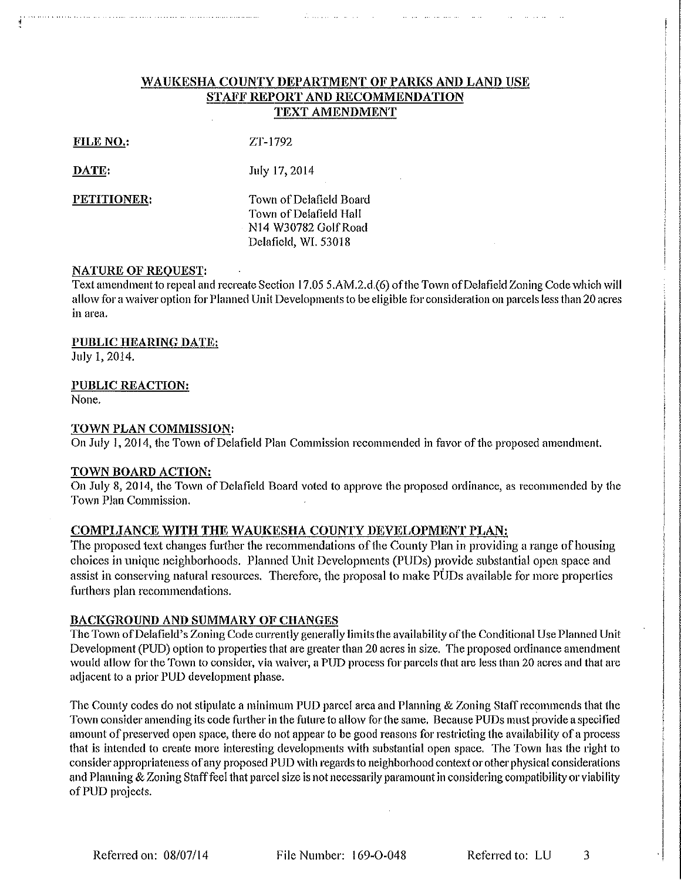## WAUKESHA COUNTY DEPARTMENT OF PARKS AND LAND USE STAFF REPORT AND RECOMMENDATION **TEXT AMENDMENT**

| FILE NC |  |
|---------|--|
|---------|--|

ZT-1792

DATE: July 17, 2014

PETITIONER:

Town of Delafield Board Town of Delafield Hall N14 W30782 Golf Road Delafield, WI. 53018

### **NATURE OF REOUEST:**

Text amendment to repeal and recreate Section 17.05 5.AM.2.d.(6) of the Town of Delafield Zoning Code which will allow for a waiver option for Planned Unit Developments to be eligible for consideration on parcels less than 20 acres in area.

### **PUBLIC HEARING DATE:**

July 1, 2014.

### **PUBLIC REACTION:**

None.

### TOWN PLAN COMMISSION:

On July 1, 2014, the Town of Delafield Plan Commission recommended in favor of the proposed amendment.

### TOWN BOARD ACTION:

On July 8, 2014, the Town of Delafield Board voted to approve the proposed ordinance, as recommended by the Town Plan Commission.

# COMPLIANCE WITH THE WAUKESHA COUNTY DEVELOPMENT PLAN:

The proposed text changes further the recommendations of the County Plan in providing a range of housing choices in unique neighborhoods. Planned Unit Developments (PUDs) provide substantial open space and assist in conserving natural resources. Therefore, the proposal to make PUDs available for more properties furthers plan recommendations.

### **BACKGROUND AND SUMMARY OF CHANGES**

The Town of Delafield's Zoning Code currently generally limits the availability of the Conditional Use Planned Unit Development (PUD) option to properties that are greater than 20 acres in size. The proposed ordinance amendment would allow for the Town to consider, via waiver, a PUD process for parcels that are less than 20 acres and that are adjacent to a prior PUD development phase.

The County codes do not stipulate a minimum PUD parcel area and Planning & Zoning Staff recommends that the Town consider amending its code further in the future to allow for the same. Because PUDs must provide a specified amount of preserved open space, there do not appear to be good reasons for restricting the availability of a process that is intended to create more interesting developments with substantial open space. The Town has the right to consider appropriateness of any proposed PUD with regards to neighborhood context or other physical considerations and Planning & Zoning Staff feel that parcel size is not necessarily paramount in considering compatibility or viability of PUD projects.

File Number: 169-O-048

Referred to: LU

3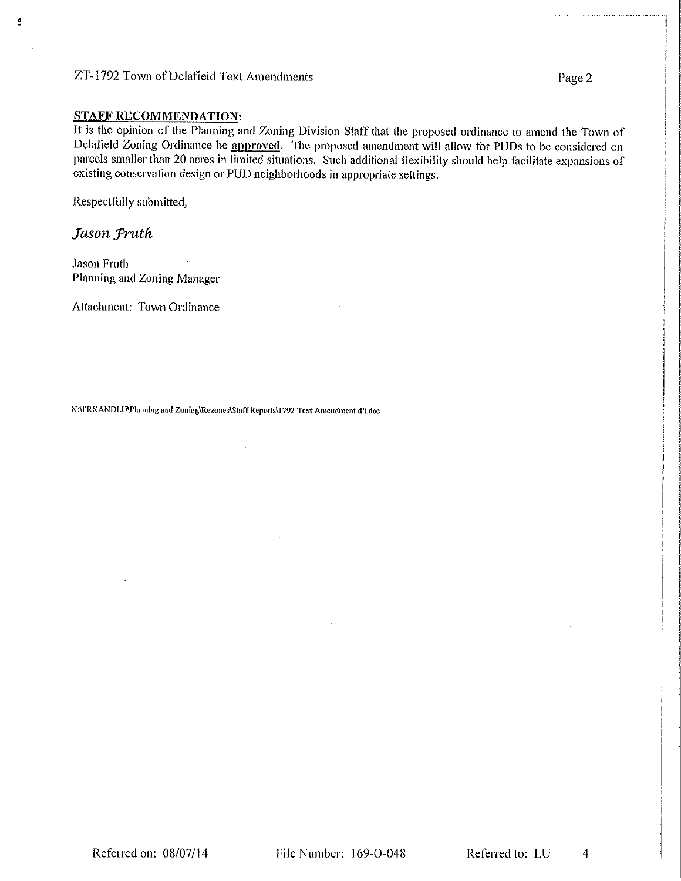# ZT-1792 Town of Delafield Text Amendments

#### **STAFF RECOMMENDATION:**

It is the opinion of the Planning and Zoning Division Staff that the proposed ordinance to amend the Town of Delafield Zoning Ordinance be approved. The proposed amendment will allow for PUDs to be considered on parcels smaller than 20 acres in limited situations. Such additional flexibility should help facilitate expansions of existing conservation design or PUD neighborhoods in appropriate settings.

Respectfully submitted,

Jason Fruth

 $\frac{1}{4}$ 

Jason Fruth Planning and Zoning Manager

Attachment: Town Ordinance

N:\PRKANDLU\Planning and Zoning\Rezones\Staff Reports\1792 Text Amendment dit.doc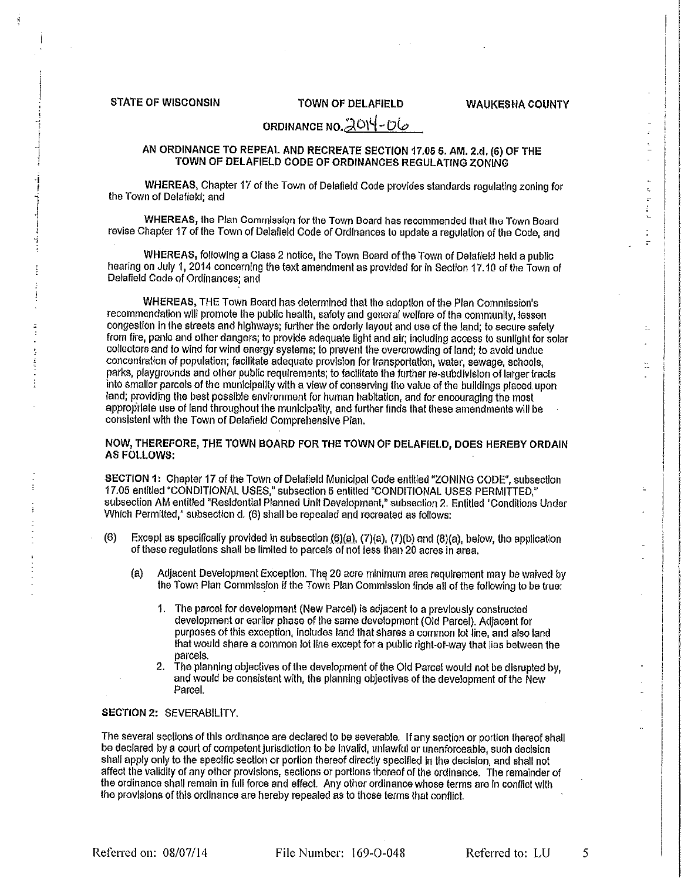#### **STATE OF WISCONSIN**

#### **TOWN OF DELAFIELD**

**WAUKESHA COUNTY** 

t.

 $\ddot{\cdot}$ 

# ORDINANCE NO. 2014-06

#### AN ORDINANCE TO REPEAL AND RECREATE SECTION 17.05 5. AM. 2.d. (6) OF THE TOWN OF DELAFIELD CODE OF ORDINANCES REGULATING ZONING

WHEREAS, Chapter 17 of the Town of Delafield Code provides standards regulating zoning for the Town of Delafield; and

WHEREAS, the Plan Commission for the Town Board has recommended that the Town Board revise Chapter 17 of the Town of Delafield Code of Ordinances to update a regulation of the Code, and

WHEREAS, following a Class 2 notice, the Town Board of the Town of Delatield held a public hearing on July 1, 2014 concerning the text amendment as provided for in Section 17.10 of the Town of Delafield Code of Ordinances; and

WHEREAS, THE Town Board has determined that the adoption of the Plan Commission's recommendation will promote the public health, safety and general welfare of the community, lessen congestion in the streets and highways; further the orderly layout and use of the land; to secure safely from fire, panic and other dangers; to provide adequate light and air; including access to sunlight for solar collectors and to wind for wind energy systems; to prevent the overcrowding of land; to avoid undue concentration of population; facilitate adequate provision for transportation, water, sewage, schools, parks, playgrounds and other public requirements; to facilitate the further re-subdivision of larger tracts into smaller parcels of the municipality with a view of conserving the value of the buildings placed upon land: providing the best possible environment for human habitation, and for encouraging the most appropriate use of land throughout the municipality, and further finds that these amendments will be consistent with the Town of Delafield Comprehensive Plan.

NOW, THEREFORE, THE TOWN BOARD FOR THE TOWN OF DELAFIELD, DOES HEREBY ORDAIN **AS FOLLOWS:** 

SECTION 1: Chapter 17 of the Town of Delafield Municipal Code entitled "ZONING CODE", subsection 17.05 entitled "CONDITIONAL USES," subsection 5 entitled "CONDITIONAL USES PERMITTED," subsection AM entitled "Residential Planned Unit Development," subsection 2. Entitled "Conditions Under Which Permitted," subsection d. (6) shall be repealed and recreated as follows:

- $(6)$ Except as specifically provided in subsection  $(6)(a)$ ,  $(7)(a)$ ,  $(7)(b)$  and  $(8)(a)$ , below, the application of these regulations shall be limited to parcels of not less than 20 acres in area.
	- Adiacent Development Exception. The 20 acre minimum area requirement may be waived by ía) the Town Plan Commission if the Town Plan Commission finds all of the following to be true:
		- 1. The parcel for development (New Parcel) is adjacent to a previously constructed development or earlier phase of the same development (Old Parcel). Adjacent for purposes of this exception, includes land that shares a common lot line, and also land that would share a common lot line except for a public right-of-way that lies between the narcels
		- $2.$ The planning objectives of the development of the Old Parcel would not be disrupted by, and would be consistent with, the planning objectives of the development of the New Parcel.

#### SECTION 2: SEVERABILITY.

The several sections of this ordinance are declared to be severable. If any section or portion thereof shall be declared by a court of competent jurisdiction to be invalid, unlawful or unenforceable, such decision shall apply only to the specific section or portion thereof directly specified in the decision, and shall not affect the validity of any other provisions, sections or portions thereof of the ordinance. The remainder of the ordinance shall remain in full force and effect. Any other ordinance whose terms are in conflict with the provisions of this ordinance are hereby repealed as to those terms that conflict.

Referred on: 08/07/14

File Number: 169-O-048

Referred to: LU

5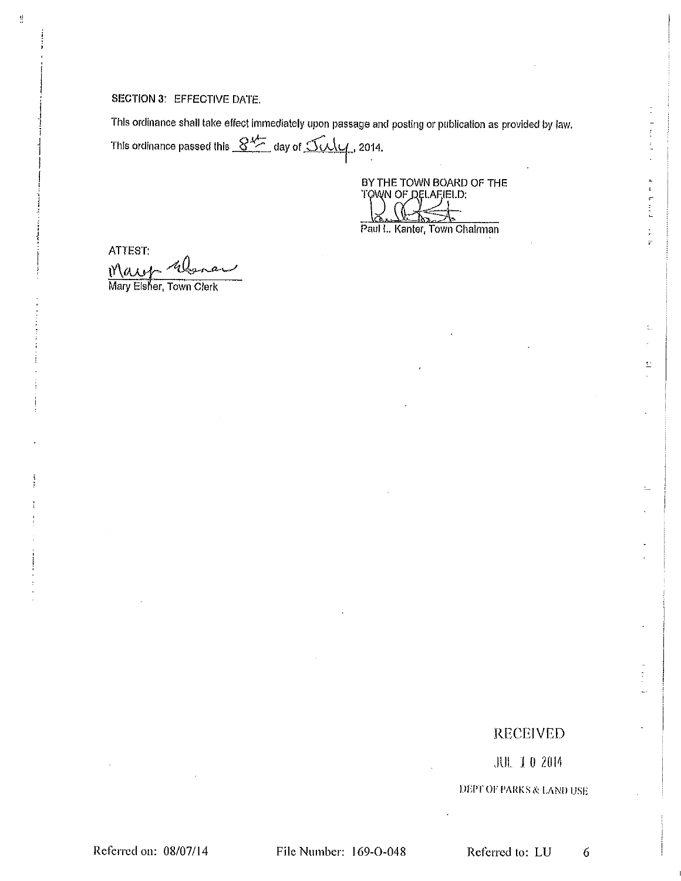#### **SECTION 3: EFFECTIVE DATE.**

đ,

This ordinance shall take effect immediately upon passage and posting or publication as provided by law. This ordinance passed this  $8\frac{M-1}{2}$  day of  $50\frac{M}{4}$ , 2014.

> BY THE TOWN BOARD OF THE TOWN OF DELAFIELD:

Ł

 $\frac{1}{2}$  $\frac{1}{\gamma}$ 

 $\frac{1}{T}$  $\overline{r}$ 

Ł,

 $\mathbb{Z}$ 

Ļ,

Paul L. Kanter, Town Chairman

ATTEST: Mary

Mary Elsher, Town Clerk

# **RECEIVED**

**JUL 10 2014** 

**DEPT OF PARKS & LAND USE** 

File Number: 169-O-048

Referred to: LU 6